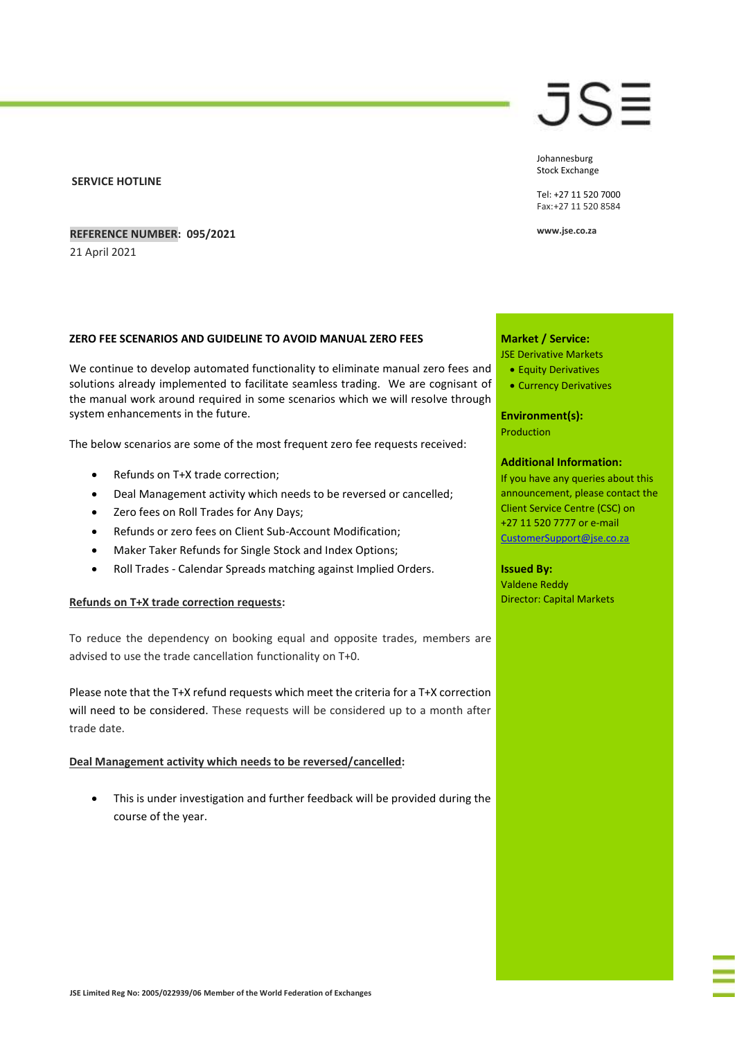#### **SERVICE HOTLINE**

# **REFERENCE NUMBER: 095/2021**

21 April 2021

# **ZERO FEE SCENARIOS AND GUIDELINE TO AVOID MANUAL ZERO FEES**

We continue to develop automated functionality to eliminate manual zero fees and solutions already implemented to facilitate seamless trading. We are cognisant of the manual work around required in some scenarios which we will resolve through system enhancements in the future.

The below scenarios are some of the most frequent zero fee requests received:

- Refunds on T+X trade correction;
- Deal Management activity which needs to be reversed or cancelled;
- Zero fees on Roll Trades for Any Days;
- Refunds or zero fees on Client Sub-Account Modification;
- Maker Taker Refunds for Single Stock and Index Options;
- Roll Trades Calendar Spreads matching against Implied Orders.

#### **Refunds on T+X trade correction requests:**

To reduce the dependency on booking equal and opposite trades, members are advised to use the trade cancellation functionality on T+0.

Please note that the T+X refund requests which meet the criteria for a T+X correction will need to be considered. These requests will be considered up to a month after trade date.

**Deal Management activity which needs to be reversed/cancelled:**

 This is under investigation and further feedback will be provided during the course of the year.

# JS≣

Johannesburg Stock Exchange

Tel: +27 11 520 7000 Fax:+27 11 520 8584

**www.jse.co.za**

#### **Market / Service:**

JSE Derivative Markets

- Equity Derivatives
- Currency Derivatives

**Environment(s):** Production

# **Additional Information:**

If you have any queries about this announcement, please contact the Client Service Centre (CSC) on +27 11 520 7777 or e-mail [CustomerSupport@jse.co.za](mailto:CustomerSupport@jse.co.za)

#### **Issued By:**

Valdene Reddy Director: Capital Markets